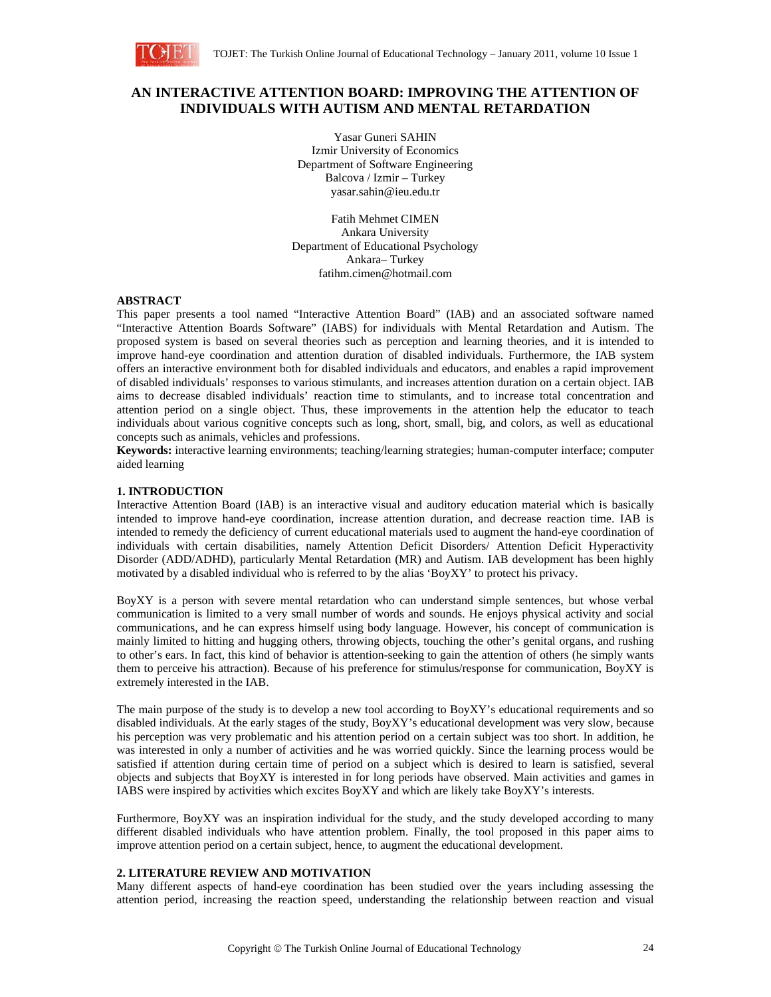

# **AN INTERACTIVE ATTENTION BOARD: IMPROVING THE ATTENTION OF INDIVIDUALS WITH AUTISM AND MENTAL RETARDATION**

Yasar Guneri SAHIN Izmir University of Economics Department of Software Engineering Balcova / Izmir – Turkey yasar.sahin@ieu.edu.tr

Fatih Mehmet CIMEN Ankara University Department of Educational Psychology Ankara– Turkey fatihm.cimen@hotmail.com

## **ABSTRACT**

This paper presents a tool named "Interactive Attention Board" (IAB) and an associated software named "Interactive Attention Boards Software" (IABS) for individuals with Mental Retardation and Autism. The proposed system is based on several theories such as perception and learning theories, and it is intended to improve hand-eye coordination and attention duration of disabled individuals. Furthermore, the IAB system offers an interactive environment both for disabled individuals and educators, and enables a rapid improvement of disabled individuals' responses to various stimulants, and increases attention duration on a certain object. IAB aims to decrease disabled individuals' reaction time to stimulants, and to increase total concentration and attention period on a single object. Thus, these improvements in the attention help the educator to teach individuals about various cognitive concepts such as long, short, small, big, and colors, as well as educational concepts such as animals, vehicles and professions.

**Keywords:** interactive learning environments; teaching/learning strategies; human-computer interface; computer aided learning

# **1. INTRODUCTION**

Interactive Attention Board (IAB) is an interactive visual and auditory education material which is basically intended to improve hand-eye coordination, increase attention duration, and decrease reaction time. IAB is intended to remedy the deficiency of current educational materials used to augment the hand-eye coordination of individuals with certain disabilities, namely Attention Deficit Disorders/ Attention Deficit Hyperactivity Disorder (ADD/ADHD), particularly Mental Retardation (MR) and Autism. IAB development has been highly motivated by a disabled individual who is referred to by the alias 'BoyXY' to protect his privacy.

BoyXY is a person with severe mental retardation who can understand simple sentences, but whose verbal communication is limited to a very small number of words and sounds. He enjoys physical activity and social communications, and he can express himself using body language. However, his concept of communication is mainly limited to hitting and hugging others, throwing objects, touching the other's genital organs, and rushing to other's ears. In fact, this kind of behavior is attention-seeking to gain the attention of others (he simply wants them to perceive his attraction). Because of his preference for stimulus/response for communication, BoyXY is extremely interested in the IAB.

The main purpose of the study is to develop a new tool according to BoyXY's educational requirements and so disabled individuals. At the early stages of the study, BoyXY's educational development was very slow, because his perception was very problematic and his attention period on a certain subject was too short. In addition, he was interested in only a number of activities and he was worried quickly. Since the learning process would be satisfied if attention during certain time of period on a subject which is desired to learn is satisfied, several objects and subjects that BoyXY is interested in for long periods have observed. Main activities and games in IABS were inspired by activities which excites BoyXY and which are likely take BoyXY's interests.

Furthermore, BoyXY was an inspiration individual for the study, and the study developed according to many different disabled individuals who have attention problem. Finally, the tool proposed in this paper aims to improve attention period on a certain subject, hence, to augment the educational development.

# **2. LITERATURE REVIEW AND MOTIVATION**

Many different aspects of hand-eye coordination has been studied over the years including assessing the attention period, increasing the reaction speed, understanding the relationship between reaction and visual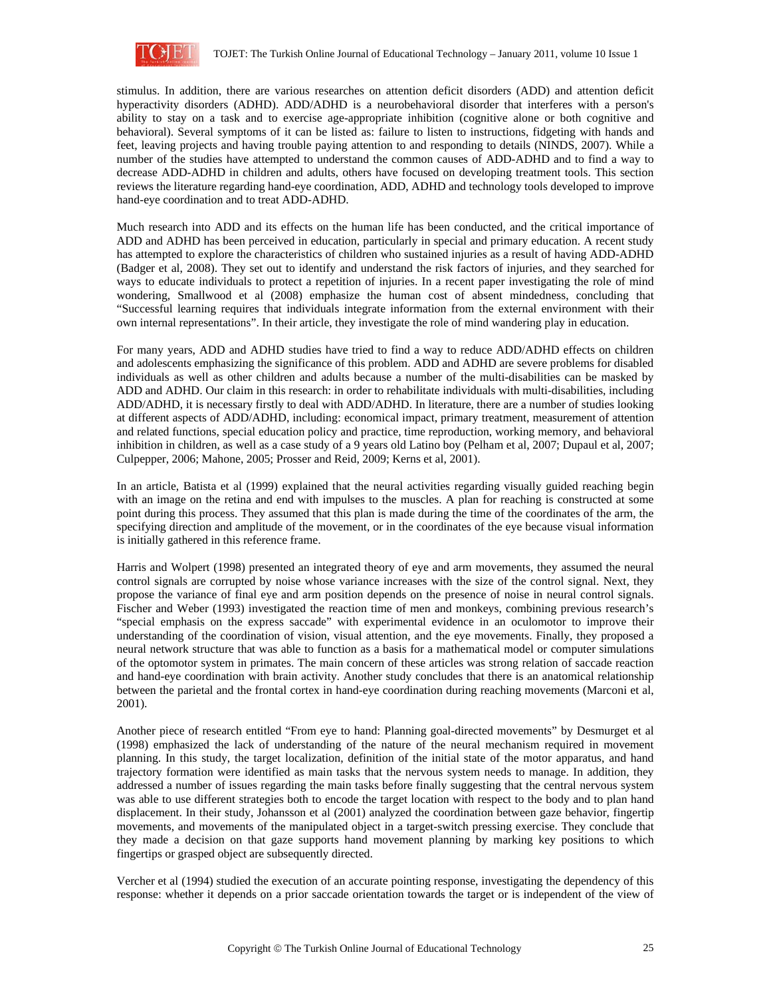

stimulus. In addition, there are various researches on attention deficit disorders (ADD) and attention deficit hyperactivity disorders (ADHD). ADD/ADHD is a neurobehavioral disorder that interferes with a person's ability to stay on a task and to exercise age-appropriate inhibition (cognitive alone or both cognitive and behavioral). Several symptoms of it can be listed as: failure to listen to instructions, fidgeting with hands and feet, leaving projects and having trouble paying attention to and responding to details (NINDS, 2007). While a number of the studies have attempted to understand the common causes of ADD-ADHD and to find a way to decrease ADD-ADHD in children and adults, others have focused on developing treatment tools. This section reviews the literature regarding hand-eye coordination, ADD, ADHD and technology tools developed to improve hand-eye coordination and to treat ADD-ADHD.

Much research into ADD and its effects on the human life has been conducted, and the critical importance of ADD and ADHD has been perceived in education, particularly in special and primary education. A recent study has attempted to explore the characteristics of children who sustained injuries as a result of having ADD-ADHD (Badger et al, 2008). They set out to identify and understand the risk factors of injuries, and they searched for ways to educate individuals to protect a repetition of injuries. In a recent paper investigating the role of mind wondering, Smallwood et al (2008) emphasize the human cost of absent mindedness, concluding that "Successful learning requires that individuals integrate information from the external environment with their own internal representations". In their article, they investigate the role of mind wandering play in education.

For many years, ADD and ADHD studies have tried to find a way to reduce ADD/ADHD effects on children and adolescents emphasizing the significance of this problem. ADD and ADHD are severe problems for disabled individuals as well as other children and adults because a number of the multi-disabilities can be masked by ADD and ADHD. Our claim in this research: in order to rehabilitate individuals with multi-disabilities, including ADD/ADHD, it is necessary firstly to deal with ADD/ADHD. In literature, there are a number of studies looking at different aspects of ADD/ADHD, including: economical impact, primary treatment, measurement of attention and related functions, special education policy and practice, time reproduction, working memory, and behavioral inhibition in children, as well as a case study of a 9 years old Latino boy (Pelham et al, 2007; Dupaul et al, 2007; Culpepper, 2006; Mahone, 2005; Prosser and Reid, 2009; Kerns et al, 2001).

In an article, Batista et al (1999) explained that the neural activities regarding visually guided reaching begin with an image on the retina and end with impulses to the muscles. A plan for reaching is constructed at some point during this process. They assumed that this plan is made during the time of the coordinates of the arm, the specifying direction and amplitude of the movement, or in the coordinates of the eye because visual information is initially gathered in this reference frame.

Harris and Wolpert (1998) presented an integrated theory of eye and arm movements, they assumed the neural control signals are corrupted by noise whose variance increases with the size of the control signal. Next, they propose the variance of final eye and arm position depends on the presence of noise in neural control signals. Fischer and Weber (1993) investigated the reaction time of men and monkeys, combining previous research's "special emphasis on the express saccade" with experimental evidence in an oculomotor to improve their understanding of the coordination of vision, visual attention, and the eye movements. Finally, they proposed a neural network structure that was able to function as a basis for a mathematical model or computer simulations of the optomotor system in primates. The main concern of these articles was strong relation of saccade reaction and hand-eye coordination with brain activity. Another study concludes that there is an anatomical relationship between the parietal and the frontal cortex in hand-eye coordination during reaching movements (Marconi et al, 2001).

Another piece of research entitled "From eye to hand: Planning goal-directed movements" by Desmurget et al (1998) emphasized the lack of understanding of the nature of the neural mechanism required in movement planning. In this study, the target localization, definition of the initial state of the motor apparatus, and hand trajectory formation were identified as main tasks that the nervous system needs to manage. In addition, they addressed a number of issues regarding the main tasks before finally suggesting that the central nervous system was able to use different strategies both to encode the target location with respect to the body and to plan hand displacement. In their study, Johansson et al (2001) analyzed the coordination between gaze behavior, fingertip movements, and movements of the manipulated object in a target-switch pressing exercise. They conclude that they made a decision on that gaze supports hand movement planning by marking key positions to which fingertips or grasped object are subsequently directed.

Vercher et al (1994) studied the execution of an accurate pointing response, investigating the dependency of this response: whether it depends on a prior saccade orientation towards the target or is independent of the view of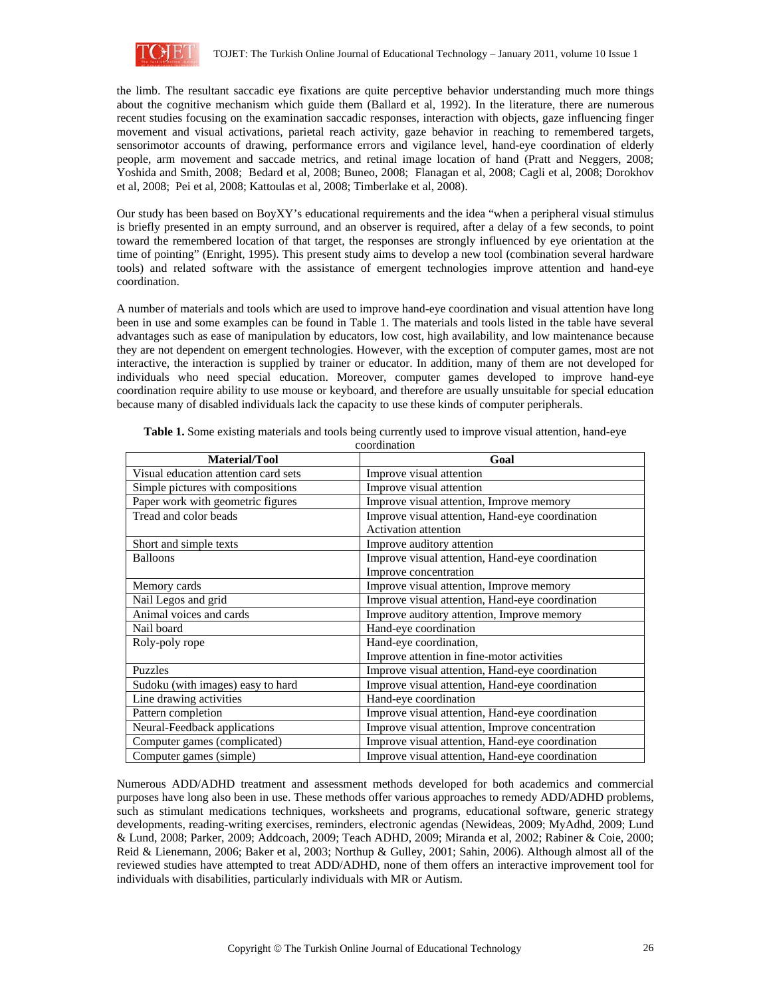

the limb. The resultant saccadic eye fixations are quite perceptive behavior understanding much more things about the cognitive mechanism which guide them (Ballard et al, 1992). In the literature, there are numerous recent studies focusing on the examination saccadic responses, interaction with objects, gaze influencing finger movement and visual activations, parietal reach activity, gaze behavior in reaching to remembered targets, sensorimotor accounts of drawing, performance errors and vigilance level, hand-eye coordination of elderly people, arm movement and saccade metrics, and retinal image location of hand (Pratt and Neggers, 2008; Yoshida and Smith, 2008; Bedard et al, 2008; Buneo, 2008; Flanagan et al, 2008; Cagli et al, 2008; Dorokhov et al, 2008; Pei et al, 2008; Kattoulas et al, 2008; Timberlake et al, 2008).

Our study has been based on BoyXY's educational requirements and the idea "when a peripheral visual stimulus is briefly presented in an empty surround, and an observer is required, after a delay of a few seconds, to point toward the remembered location of that target, the responses are strongly influenced by eye orientation at the time of pointing" (Enright, 1995). This present study aims to develop a new tool (combination several hardware tools) and related software with the assistance of emergent technologies improve attention and hand-eye coordination.

A number of materials and tools which are used to improve hand-eye coordination and visual attention have long been in use and some examples can be found in Table 1. The materials and tools listed in the table have several advantages such as ease of manipulation by educators, low cost, high availability, and low maintenance because they are not dependent on emergent technologies. However, with the exception of computer games, most are not interactive, the interaction is supplied by trainer or educator. In addition, many of them are not developed for individuals who need special education. Moreover, computer games developed to improve hand-eye coordination require ability to use mouse or keyboard, and therefore are usually unsuitable for special education because many of disabled individuals lack the capacity to use these kinds of computer peripherals.

| <b>Material/Tool</b>                 | Goal                                            |  |
|--------------------------------------|-------------------------------------------------|--|
| Visual education attention card sets | Improve visual attention                        |  |
| Simple pictures with compositions    | Improve visual attention                        |  |
| Paper work with geometric figures    | Improve visual attention, Improve memory        |  |
| Tread and color beads                | Improve visual attention, Hand-eye coordination |  |
|                                      | <b>Activation</b> attention                     |  |
| Short and simple texts               | Improve auditory attention                      |  |
| <b>Balloons</b>                      | Improve visual attention, Hand-eye coordination |  |
|                                      | Improve concentration                           |  |
| Memory cards                         | Improve visual attention, Improve memory        |  |
| Nail Legos and grid                  | Improve visual attention, Hand-eye coordination |  |
| Animal voices and cards              | Improve auditory attention, Improve memory      |  |
| Nail board                           | Hand-eye coordination                           |  |
| Roly-poly rope                       | Hand-eye coordination,                          |  |
|                                      | Improve attention in fine-motor activities      |  |
| <b>Puzzles</b>                       | Improve visual attention, Hand-eye coordination |  |
| Sudoku (with images) easy to hard    | Improve visual attention, Hand-eye coordination |  |
| Line drawing activities              | Hand-eye coordination                           |  |
| Pattern completion                   | Improve visual attention, Hand-eye coordination |  |
| Neural-Feedback applications         | Improve visual attention, Improve concentration |  |
| Computer games (complicated)         | Improve visual attention, Hand-eye coordination |  |
| Computer games (simple)              | Improve visual attention, Hand-eye coordination |  |

**Table 1.** Some existing materials and tools being currently used to improve visual attention, hand-eye

coordination

Numerous ADD/ADHD treatment and assessment methods developed for both academics and commercial purposes have long also been in use. These methods offer various approaches to remedy ADD/ADHD problems, such as stimulant medications techniques, worksheets and programs, educational software, generic strategy developments, reading-writing exercises, reminders, electronic agendas (Newideas, 2009; MyAdhd, 2009; Lund & Lund, 2008; Parker, 2009; Addcoach, 2009; Teach ADHD, 2009; Miranda et al, 2002; Rabiner & Coie, 2000; Reid & Lienemann, 2006; Baker et al, 2003; Northup & Gulley, 2001; Sahin, 2006). Although almost all of the reviewed studies have attempted to treat ADD/ADHD, none of them offers an interactive improvement tool for individuals with disabilities, particularly individuals with MR or Autism.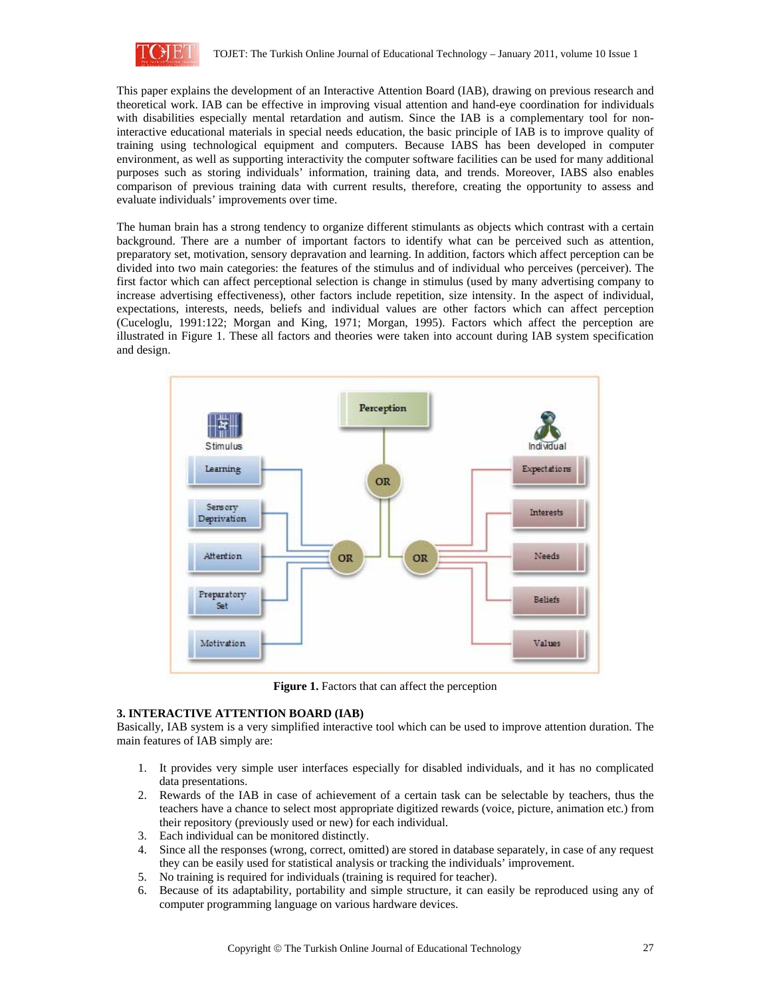

This paper explains the development of an Interactive Attention Board (IAB), drawing on previous research and theoretical work. IAB can be effective in improving visual attention and hand-eye coordination for individuals with disabilities especially mental retardation and autism. Since the IAB is a complementary tool for noninteractive educational materials in special needs education, the basic principle of IAB is to improve quality of training using technological equipment and computers. Because IABS has been developed in computer environment, as well as supporting interactivity the computer software facilities can be used for many additional purposes such as storing individuals' information, training data, and trends. Moreover, IABS also enables comparison of previous training data with current results, therefore, creating the opportunity to assess and evaluate individuals' improvements over time.

The human brain has a strong tendency to organize different stimulants as objects which contrast with a certain background. There are a number of important factors to identify what can be perceived such as attention, preparatory set, motivation, sensory depravation and learning. In addition, factors which affect perception can be divided into two main categories: the features of the stimulus and of individual who perceives (perceiver). The first factor which can affect perceptional selection is change in stimulus (used by many advertising company to increase advertising effectiveness), other factors include repetition, size intensity. In the aspect of individual, expectations, interests, needs, beliefs and individual values are other factors which can affect perception (Cuceloglu, 1991:122; Morgan and King, 1971; Morgan, 1995). Factors which affect the perception are illustrated in Figure 1. These all factors and theories were taken into account during IAB system specification and design.



Figure 1. Factors that can affect the perception

# **3. INTERACTIVE ATTENTION BOARD (IAB)**

Basically, IAB system is a very simplified interactive tool which can be used to improve attention duration. The main features of IAB simply are:

- 1. It provides very simple user interfaces especially for disabled individuals, and it has no complicated data presentations.
- 2. Rewards of the IAB in case of achievement of a certain task can be selectable by teachers, thus the teachers have a chance to select most appropriate digitized rewards (voice, picture, animation etc.) from their repository (previously used or new) for each individual.
- 3. Each individual can be monitored distinctly.
- 4. Since all the responses (wrong, correct, omitted) are stored in database separately, in case of any request they can be easily used for statistical analysis or tracking the individuals' improvement.
- 5. No training is required for individuals (training is required for teacher).
- 6. Because of its adaptability, portability and simple structure, it can easily be reproduced using any of computer programming language on various hardware devices.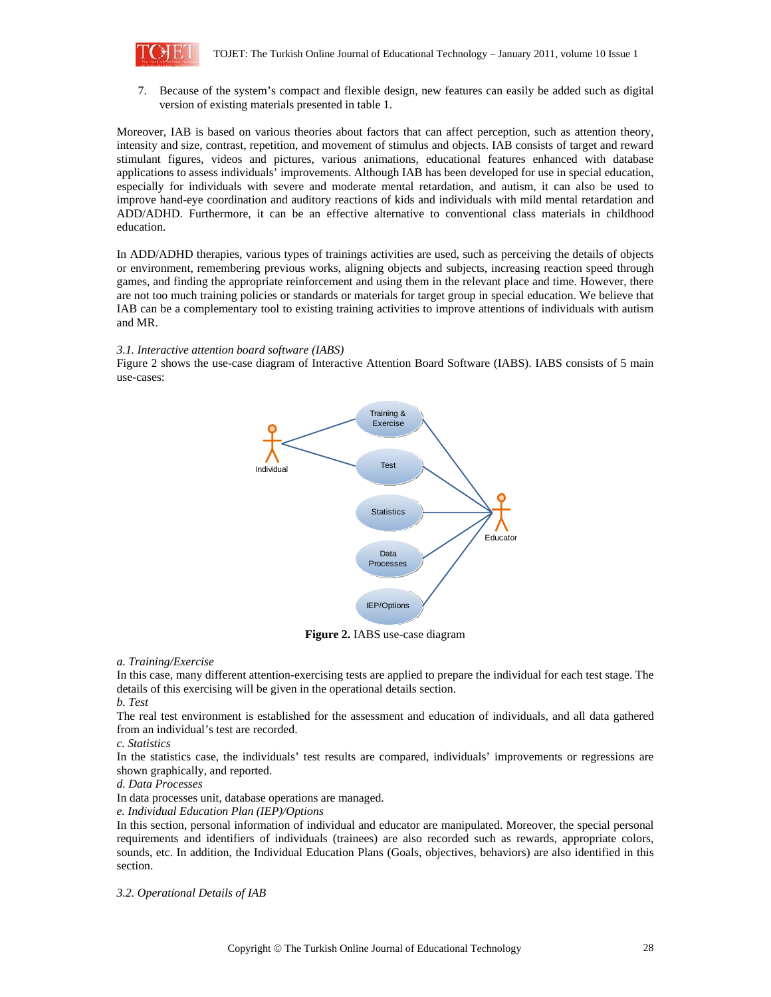

7. Because of the system's compact and flexible design, new features can easily be added such as digital version of existing materials presented in table 1.

Moreover, IAB is based on various theories about factors that can affect perception, such as attention theory, intensity and size, contrast, repetition, and movement of stimulus and objects. IAB consists of target and reward stimulant figures, videos and pictures, various animations, educational features enhanced with database applications to assess individuals' improvements. Although IAB has been developed for use in special education, especially for individuals with severe and moderate mental retardation, and autism, it can also be used to improve hand-eye coordination and auditory reactions of kids and individuals with mild mental retardation and ADD/ADHD. Furthermore, it can be an effective alternative to conventional class materials in childhood education.

In ADD/ADHD therapies, various types of trainings activities are used, such as perceiving the details of objects or environment, remembering previous works, aligning objects and subjects, increasing reaction speed through games, and finding the appropriate reinforcement and using them in the relevant place and time. However, there are not too much training policies or standards or materials for target group in special education. We believe that IAB can be a complementary tool to existing training activities to improve attentions of individuals with autism and MR.

## *3.1. Interactive attention board software (IABS)*

Figure 2 shows the use-case diagram of Interactive Attention Board Software (IABS). IABS consists of 5 main use-cases:



**Figure 2.** IABS use-case diagram

#### *a. Training/Exercise*

In this case, many different attention-exercising tests are applied to prepare the individual for each test stage. The details of this exercising will be given in the operational details section.

# *b. Test*

The real test environment is established for the assessment and education of individuals, and all data gathered from an individual's test are recorded.

#### *c. Statistics*

In the statistics case, the individuals' test results are compared, individuals' improvements or regressions are shown graphically, and reported.

#### *d. Data Processes*

In data processes unit, database operations are managed.

#### *e. Individual Education Plan (IEP)/Options*

In this section, personal information of individual and educator are manipulated. Moreover, the special personal requirements and identifiers of individuals (trainees) are also recorded such as rewards, appropriate colors, sounds, etc. In addition, the Individual Education Plans (Goals, objectives, behaviors) are also identified in this section.

*3.2. Operational Details of IAB*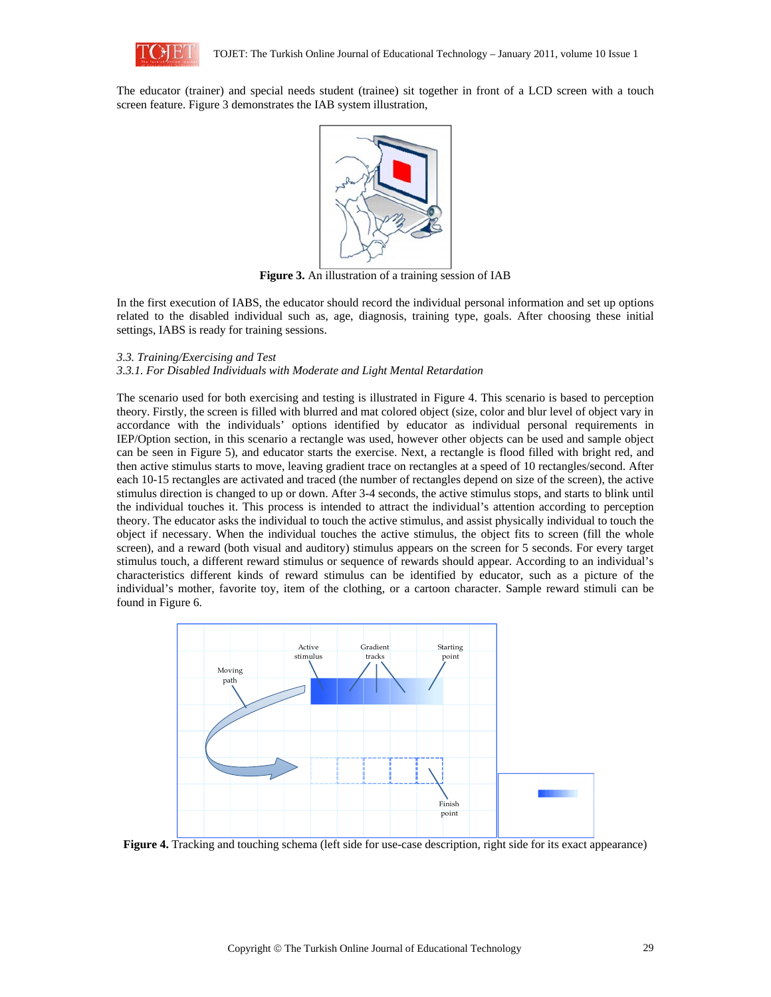

The educator (trainer) and special needs student (trainee) sit together in front of a LCD screen with a touch screen feature. Figure 3 demonstrates the IAB system illustration,



**Figure 3.** An illustration of a training session of IAB

In the first execution of IABS, the educator should record the individual personal information and set up options related to the disabled individual such as, age, diagnosis, training type, goals. After choosing these initial settings, IABS is ready for training sessions.

## *3.3. Training/Exercising and Test*

#### *3.3.1. For Disabled Individuals with Moderate and Light Mental Retardation*

The scenario used for both exercising and testing is illustrated in Figure 4. This scenario is based to perception theory. Firstly, the screen is filled with blurred and mat colored object (size, color and blur level of object vary in accordance with the individuals' options identified by educator as individual personal requirements in IEP/Option section, in this scenario a rectangle was used, however other objects can be used and sample object can be seen in Figure 5), and educator starts the exercise. Next, a rectangle is flood filled with bright red, and then active stimulus starts to move, leaving gradient trace on rectangles at a speed of 10 rectangles/second. After each 10-15 rectangles are activated and traced (the number of rectangles depend on size of the screen), the active stimulus direction is changed to up or down. After 3-4 seconds, the active stimulus stops, and starts to blink until the individual touches it. This process is intended to attract the individual's attention according to perception theory. The educator asks the individual to touch the active stimulus, and assist physically individual to touch the object if necessary. When the individual touches the active stimulus, the object fits to screen (fill the whole screen), and a reward (both visual and auditory) stimulus appears on the screen for 5 seconds. For every target stimulus touch, a different reward stimulus or sequence of rewards should appear. According to an individual's characteristics different kinds of reward stimulus can be identified by educator, such as a picture of the individual's mother, favorite toy, item of the clothing, or a cartoon character. Sample reward stimuli can be found in Figure 6.



**Figure 4.** Tracking and touching schema (left side for use-case description, right side for its exact appearance)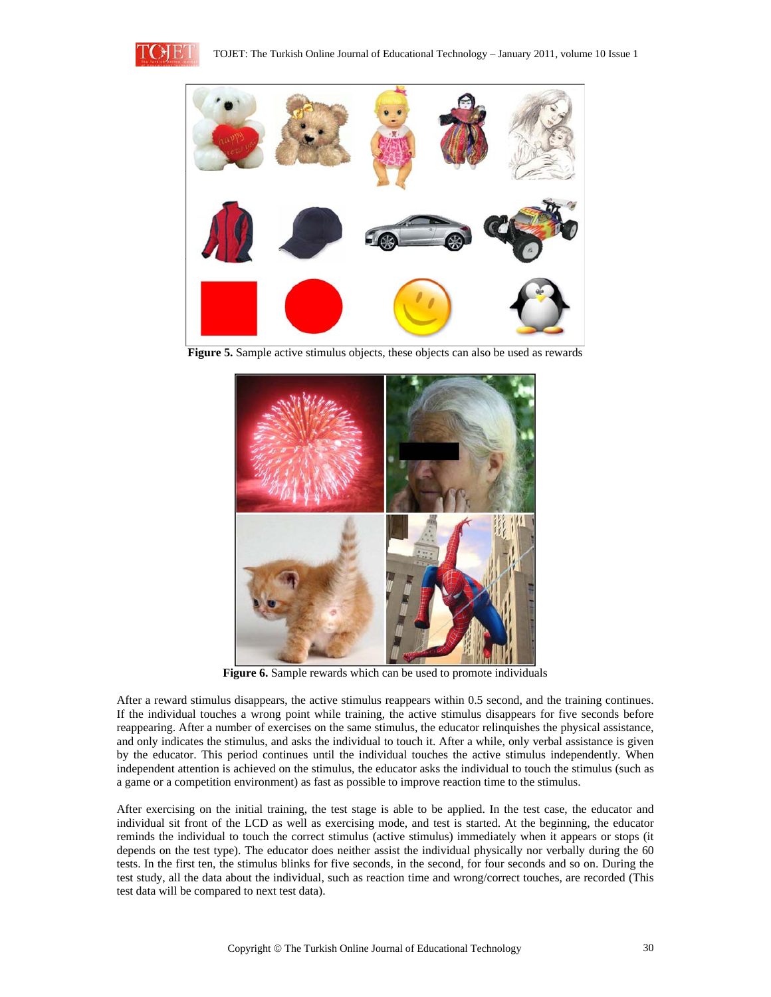



**Figure 5.** Sample active stimulus objects, these objects can also be used as rewards



**Figure 6.** Sample rewards which can be used to promote individuals

After a reward stimulus disappears, the active stimulus reappears within 0.5 second, and the training continues. If the individual touches a wrong point while training, the active stimulus disappears for five seconds before reappearing. After a number of exercises on the same stimulus, the educator relinquishes the physical assistance, and only indicates the stimulus, and asks the individual to touch it. After a while, only verbal assistance is given by the educator. This period continues until the individual touches the active stimulus independently. When independent attention is achieved on the stimulus, the educator asks the individual to touch the stimulus (such as a game or a competition environment) as fast as possible to improve reaction time to the stimulus.

After exercising on the initial training, the test stage is able to be applied. In the test case, the educator and individual sit front of the LCD as well as exercising mode, and test is started. At the beginning, the educator reminds the individual to touch the correct stimulus (active stimulus) immediately when it appears or stops (it depends on the test type). The educator does neither assist the individual physically nor verbally during the 60 tests. In the first ten, the stimulus blinks for five seconds, in the second, for four seconds and so on. During the test study, all the data about the individual, such as reaction time and wrong/correct touches, are recorded (This test data will be compared to next test data).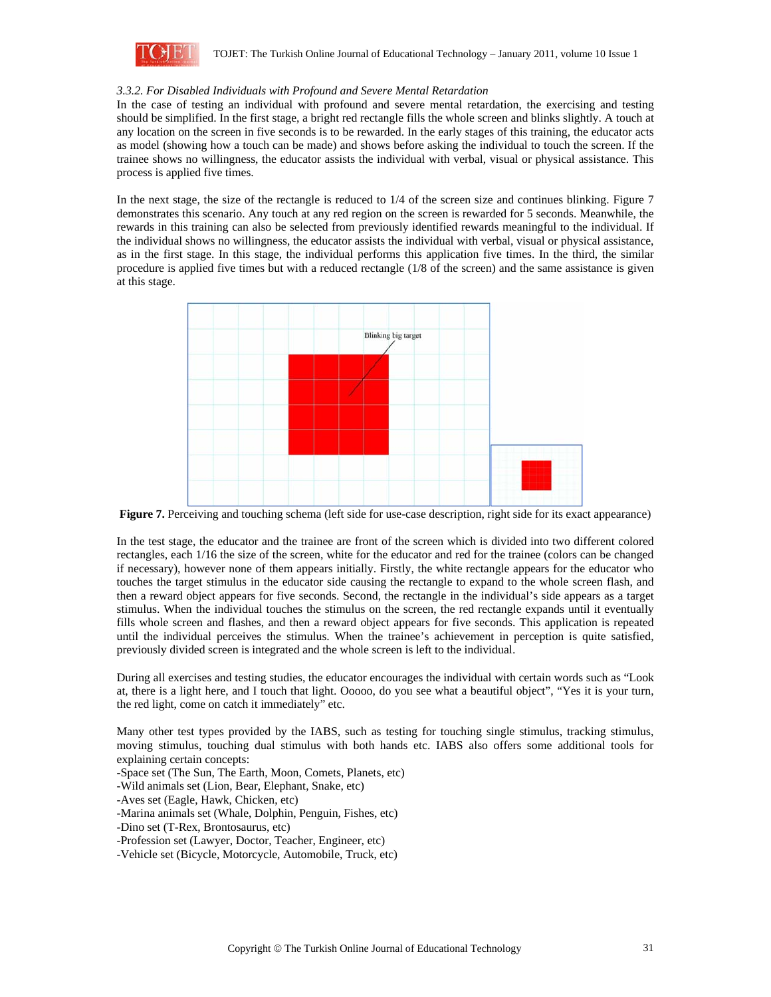

## *3.3.2. For Disabled Individuals with Profound and Severe Mental Retardation*

In the case of testing an individual with profound and severe mental retardation, the exercising and testing should be simplified. In the first stage, a bright red rectangle fills the whole screen and blinks slightly. A touch at any location on the screen in five seconds is to be rewarded. In the early stages of this training, the educator acts as model (showing how a touch can be made) and shows before asking the individual to touch the screen. If the trainee shows no willingness, the educator assists the individual with verbal, visual or physical assistance. This process is applied five times.

In the next stage, the size of the rectangle is reduced to 1/4 of the screen size and continues blinking. Figure 7 demonstrates this scenario. Any touch at any red region on the screen is rewarded for 5 seconds. Meanwhile, the rewards in this training can also be selected from previously identified rewards meaningful to the individual. If the individual shows no willingness, the educator assists the individual with verbal, visual or physical assistance, as in the first stage. In this stage, the individual performs this application five times. In the third, the similar procedure is applied five times but with a reduced rectangle (1/8 of the screen) and the same assistance is given at this stage.



**Figure 7.** Perceiving and touching schema (left side for use-case description, right side for its exact appearance)

In the test stage, the educator and the trainee are front of the screen which is divided into two different colored rectangles, each 1/16 the size of the screen, white for the educator and red for the trainee (colors can be changed if necessary), however none of them appears initially. Firstly, the white rectangle appears for the educator who touches the target stimulus in the educator side causing the rectangle to expand to the whole screen flash, and then a reward object appears for five seconds. Second, the rectangle in the individual's side appears as a target stimulus. When the individual touches the stimulus on the screen, the red rectangle expands until it eventually fills whole screen and flashes, and then a reward object appears for five seconds. This application is repeated until the individual perceives the stimulus. When the trainee's achievement in perception is quite satisfied, previously divided screen is integrated and the whole screen is left to the individual.

During all exercises and testing studies, the educator encourages the individual with certain words such as "Look at, there is a light here, and I touch that light. Ooooo, do you see what a beautiful object", "Yes it is your turn, the red light, come on catch it immediately" etc.

Many other test types provided by the IABS, such as testing for touching single stimulus, tracking stimulus, moving stimulus, touching dual stimulus with both hands etc. IABS also offers some additional tools for explaining certain concepts:

-Space set (The Sun, The Earth, Moon, Comets, Planets, etc)

-Wild animals set (Lion, Bear, Elephant, Snake, etc)

-Aves set (Eagle, Hawk, Chicken, etc)

-Marina animals set (Whale, Dolphin, Penguin, Fishes, etc)

-Dino set (T-Rex, Brontosaurus, etc)

-Profession set (Lawyer, Doctor, Teacher, Engineer, etc)

-Vehicle set (Bicycle, Motorcycle, Automobile, Truck, etc)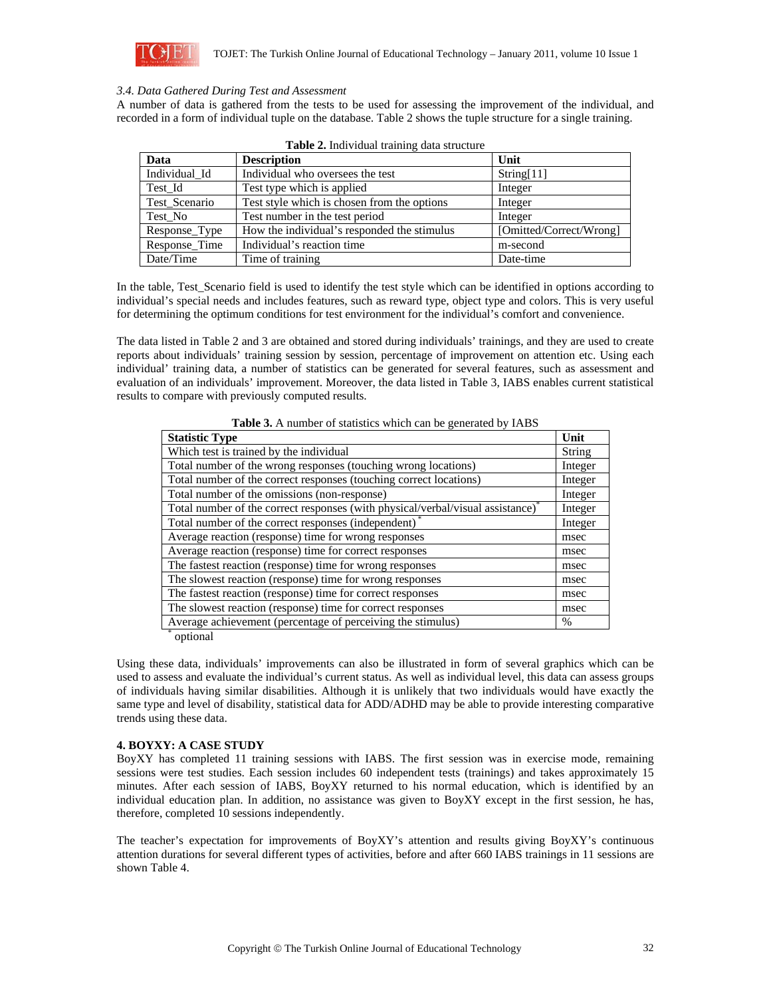

# *3.4. Data Gathered During Test and Assessment*

A number of data is gathered from the tests to be used for assessing the improvement of the individual, and recorded in a form of individual tuple on the database. Table 2 shows the tuple structure for a single training.

| Data          | <b>Description</b>                          | Unit                    |
|---------------|---------------------------------------------|-------------------------|
| Individual Id | Individual who oversees the test            | String[11]              |
| Test Id       | Test type which is applied                  | Integer                 |
| Test Scenario | Test style which is chosen from the options | Integer                 |
| Test No       | Test number in the test period              | Integer                 |
| Response Type | How the individual's responded the stimulus | [Omitted/Correct/Wrong] |
| Response Time | Individual's reaction time                  | m-second                |
| Date/Time     | Time of training                            | Date-time               |

In the table, Test\_Scenario field is used to identify the test style which can be identified in options according to individual's special needs and includes features, such as reward type, object type and colors. This is very useful for determining the optimum conditions for test environment for the individual's comfort and convenience.

The data listed in Table 2 and 3 are obtained and stored during individuals' trainings, and they are used to create reports about individuals' training session by session, percentage of improvement on attention etc. Using each individual' training data, a number of statistics can be generated for several features, such as assessment and evaluation of an individuals' improvement. Moreover, the data listed in Table 3, IABS enables current statistical results to compare with previously computed results.

| Table 3. A number of statistics which can be generated by IABS |
|----------------------------------------------------------------|
|----------------------------------------------------------------|

| <b>Statistic Type</b>                                                                       | Unit    |  |
|---------------------------------------------------------------------------------------------|---------|--|
| Which test is trained by the individual                                                     |         |  |
| Total number of the wrong responses (touching wrong locations)                              | Integer |  |
| Total number of the correct responses (touching correct locations)                          | Integer |  |
| Total number of the omissions (non-response)                                                | Integer |  |
| Total number of the correct responses (with physical/verbal/visual assistance) <sup>*</sup> | Integer |  |
| Total number of the correct responses (independent) <sup>*</sup>                            | Integer |  |
| Average reaction (response) time for wrong responses                                        |         |  |
| Average reaction (response) time for correct responses                                      | msec    |  |
| The fastest reaction (response) time for wrong responses                                    | msec    |  |
| The slowest reaction (response) time for wrong responses                                    | msec    |  |
| The fastest reaction (response) time for correct responses                                  | msec    |  |
| The slowest reaction (response) time for correct responses                                  | msec    |  |
| Average achievement (percentage of perceiving the stimulus)                                 |         |  |
| $\sim$ $\sim$                                                                               |         |  |

optional

Using these data, individuals' improvements can also be illustrated in form of several graphics which can be used to assess and evaluate the individual's current status. As well as individual level, this data can assess groups of individuals having similar disabilities. Although it is unlikely that two individuals would have exactly the same type and level of disability, statistical data for ADD/ADHD may be able to provide interesting comparative trends using these data.

#### **4. BOYXY: A CASE STUDY**

BoyXY has completed 11 training sessions with IABS. The first session was in exercise mode, remaining sessions were test studies. Each session includes 60 independent tests (trainings) and takes approximately 15 minutes. After each session of IABS, BoyXY returned to his normal education, which is identified by an individual education plan. In addition, no assistance was given to BoyXY except in the first session, he has, therefore, completed 10 sessions independently.

The teacher's expectation for improvements of BoyXY's attention and results giving BoyXY's continuous attention durations for several different types of activities, before and after 660 IABS trainings in 11 sessions are shown Table 4.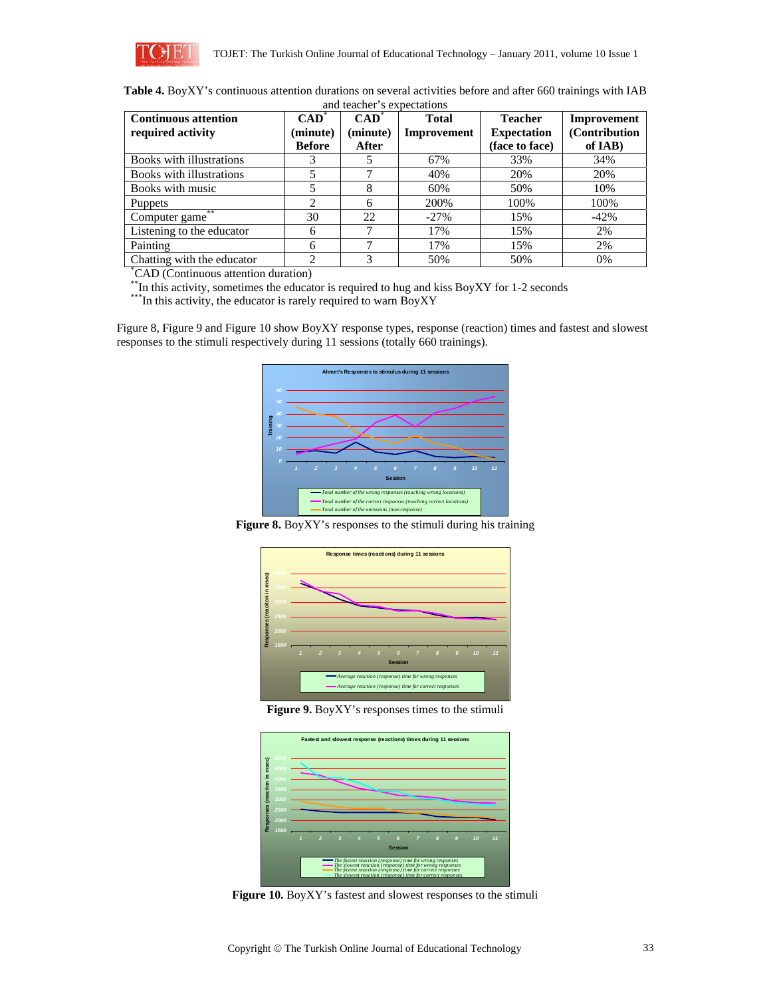

| Table 4. BoyXY's continuous attention durations on several activities before and after 660 trainings with IAB |
|---------------------------------------------------------------------------------------------------------------|
| ومسترقفه ومستعمره لأسماط ومملا الرسما                                                                         |

| and teacher's expectations                       |                             |                             |                             |                                      |                               |  |  |  |
|--------------------------------------------------|-----------------------------|-----------------------------|-----------------------------|--------------------------------------|-------------------------------|--|--|--|
| <b>Continuous attention</b><br>required activity | $CAD^{\dagger}$<br>(minute) | $CAD^{\dagger}$<br>(minute) | <b>Total</b><br>Improvement | <b>Teacher</b><br><b>Expectation</b> | Improvement<br>(Contribution) |  |  |  |
|                                                  | <b>Before</b>               | After                       |                             | (face to face)                       | of IAB)                       |  |  |  |
| Books with illustrations                         |                             |                             | 67%                         | 33%                                  | 34%                           |  |  |  |
| Books with illustrations                         | 5                           |                             | 40%                         | 20%                                  | 20%                           |  |  |  |
| Books with music                                 |                             | 8                           | 60%                         | 50%                                  | 10%                           |  |  |  |
| <b>Puppets</b>                                   | $\overline{c}$              | 6                           | 200%                        | 100%                                 | 100%                          |  |  |  |
| **<br>Computer game                              | 30                          | 22                          | $-27%$                      | 15%                                  | $-42%$                        |  |  |  |
| Listening to the educator                        | 6                           |                             | 17%                         | 15%                                  | 2%                            |  |  |  |
| Painting                                         | 6                           |                             | 17%                         | 15%                                  | 2%                            |  |  |  |
| Chatting with the educator                       | $\mathcal{D}_{\alpha}$      | 3                           | 50%                         | 50%                                  | 0%                            |  |  |  |
| <sup>*</sup> CAD (Continuous attention duration) |                             |                             |                             |                                      |                               |  |  |  |

\*\*In this activity, sometimes the educator is required to hug and kiss BoyXY for 1-2 seconds \*\*\*In this activity, the educator is rarely required to warn BoyXY

Figure 8, Figure 9 and Figure 10 show BoyXY response types, response (reaction) times and fastest and slowest responses to the stimuli respectively during 11 sessions (totally 660 trainings).



**Figure 8.** BoyXY's responses to the stimuli during his training



**Figure 9.** BoyXY's responses times to the stimuli



**Figure 10.** BoyXY's fastest and slowest responses to the stimuli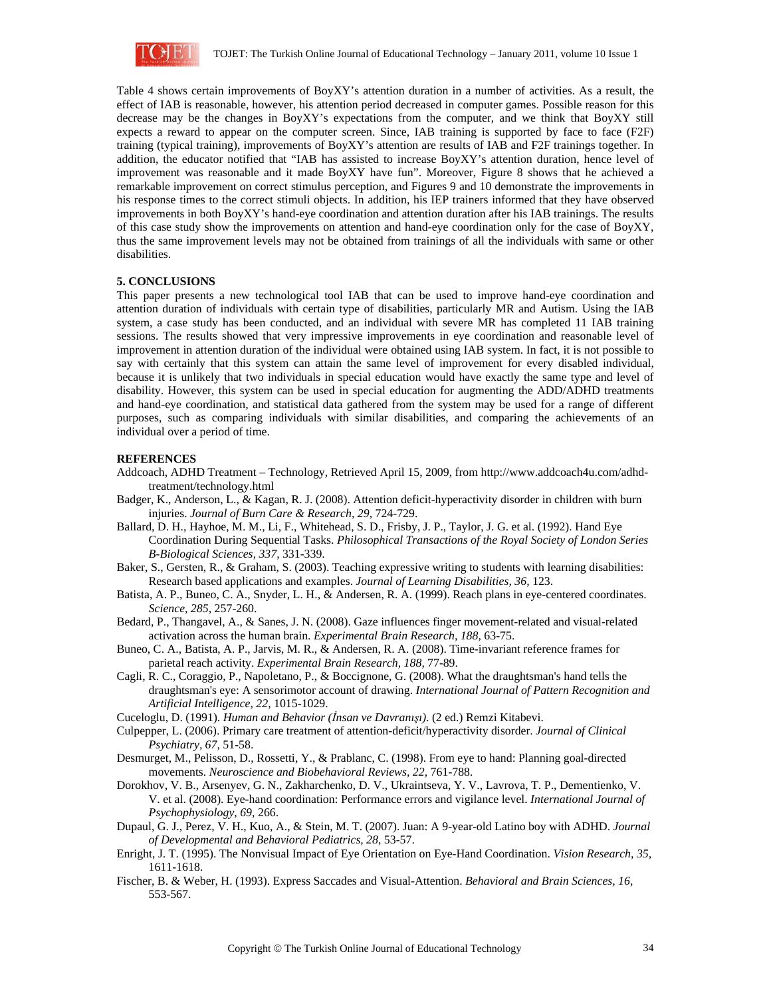

Table 4 shows certain improvements of BoyXY's attention duration in a number of activities. As a result, the effect of IAB is reasonable, however, his attention period decreased in computer games. Possible reason for this decrease may be the changes in BoyXY's expectations from the computer, and we think that BoyXY still expects a reward to appear on the computer screen. Since, IAB training is supported by face to face (F2F) training (typical training), improvements of BoyXY's attention are results of IAB and F2F trainings together. In addition, the educator notified that "IAB has assisted to increase BoyXY's attention duration, hence level of improvement was reasonable and it made BoyXY have fun". Moreover, Figure 8 shows that he achieved a remarkable improvement on correct stimulus perception, and Figures 9 and 10 demonstrate the improvements in his response times to the correct stimuli objects. In addition, his IEP trainers informed that they have observed improvements in both BoyXY's hand-eye coordination and attention duration after his IAB trainings. The results of this case study show the improvements on attention and hand-eye coordination only for the case of BoyXY, thus the same improvement levels may not be obtained from trainings of all the individuals with same or other disabilities.

## **5. CONCLUSIONS**

This paper presents a new technological tool IAB that can be used to improve hand-eye coordination and attention duration of individuals with certain type of disabilities, particularly MR and Autism. Using the IAB system, a case study has been conducted, and an individual with severe MR has completed 11 IAB training sessions. The results showed that very impressive improvements in eye coordination and reasonable level of improvement in attention duration of the individual were obtained using IAB system. In fact, it is not possible to say with certainly that this system can attain the same level of improvement for every disabled individual, because it is unlikely that two individuals in special education would have exactly the same type and level of disability. However, this system can be used in special education for augmenting the ADD/ADHD treatments and hand-eye coordination, and statistical data gathered from the system may be used for a range of different purposes, such as comparing individuals with similar disabilities, and comparing the achievements of an individual over a period of time.

#### **REFERENCES**

- Addcoach, ADHD Treatment Technology, Retrieved April 15, 2009, from http://www.addcoach4u.com/adhdtreatment/technology.html
- Badger, K., Anderson, L., & Kagan, R. J. (2008). Attention deficit-hyperactivity disorder in children with burn injuries. *Journal of Burn Care & Research, 29,* 724-729.
- Ballard, D. H., Hayhoe, M. M., Li, F., Whitehead, S. D., Frisby, J. P., Taylor, J. G. et al. (1992). Hand Eye Coordination During Sequential Tasks. *Philosophical Transactions of the Royal Society of London Series B-Biological Sciences, 337,* 331-339.
- Baker, S., Gersten, R., & Graham, S. (2003). Teaching expressive writing to students with learning disabilities: Research based applications and examples. *Journal of Learning Disabilities, 36,* 123.
- Batista, A. P., Buneo, C. A., Snyder, L. H., & Andersen, R. A. (1999). Reach plans in eye-centered coordinates. *Science, 285,* 257-260.
- Bedard, P., Thangavel, A., & Sanes, J. N. (2008). Gaze influences finger movement-related and visual-related activation across the human brain. *Experimental Brain Research, 188,* 63-75.
- Buneo, C. A., Batista, A. P., Jarvis, M. R., & Andersen, R. A. (2008). Time-invariant reference frames for parietal reach activity. *Experimental Brain Research, 188,* 77-89.
- Cagli, R. C., Coraggio, P., Napoletano, P., & Boccignone, G. (2008). What the draughtsman's hand tells the draughtsman's eye: A sensorimotor account of drawing. *International Journal of Pattern Recognition and Artificial Intelligence, 22,* 1015-1029.
- Cuceloglu, D. (1991). *Human and Behavior (İnsan ve Davranışı)*. (2 ed.) Remzi Kitabevi.
- Culpepper, L. (2006). Primary care treatment of attention-deficit/hyperactivity disorder. *Journal of Clinical Psychiatry, 67,* 51-58.
- Desmurget, M., Pelisson, D., Rossetti, Y., & Prablanc, C. (1998). From eye to hand: Planning goal-directed movements. *Neuroscience and Biobehavioral Reviews, 22,* 761-788.
- Dorokhov, V. B., Arsenyev, G. N., Zakharchenko, D. V., Ukraintseva, Y. V., Lavrova, T. P., Dementienko, V. V. et al. (2008). Eye-hand coordination: Performance errors and vigilance level. *International Journal of Psychophysiology, 69,* 266.
- Dupaul, G. J., Perez, V. H., Kuo, A., & Stein, M. T. (2007). Juan: A 9-year-old Latino boy with ADHD. *Journal of Developmental and Behavioral Pediatrics, 28,* 53-57.
- Enright, J. T. (1995). The Nonvisual Impact of Eye Orientation on Eye-Hand Coordination. *Vision Research, 35,* 1611-1618.
- Fischer, B. & Weber, H. (1993). Express Saccades and Visual-Attention. *Behavioral and Brain Sciences, 16,* 553-567.